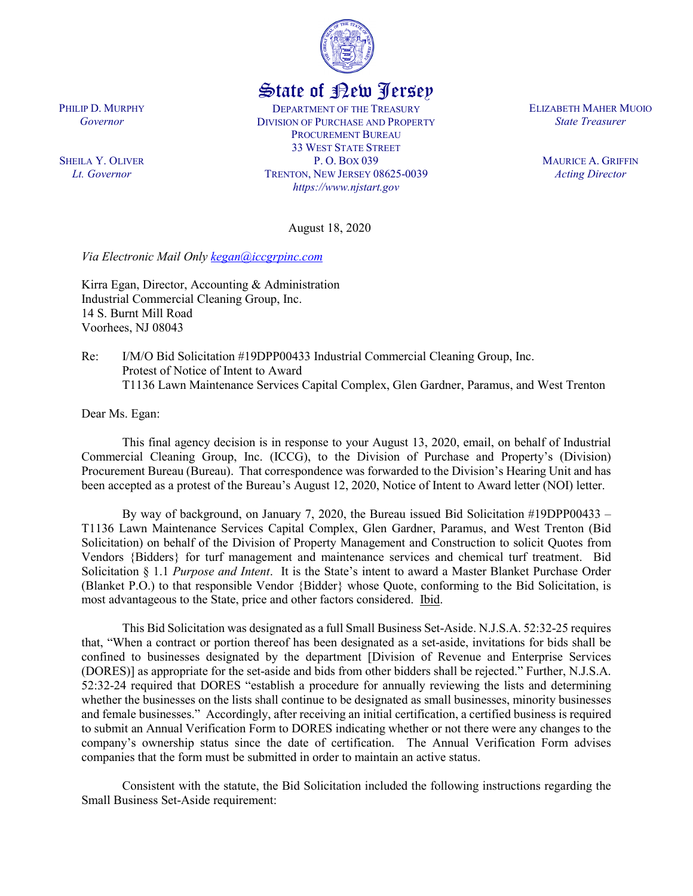

## State of New Jersey

DEPARTMENT OF THE TREASURY DIVISION OF PURCHASE AND PROPERTY PROCUREMENT BUREAU 33 WEST STATE STREET P. O. BOX 039 TRENTON, NEW JERSEY 08625-0039 *https://www.njstart.gov*

ELIZABETH MAHER MUOIO *State Treasurer*

> MAURICE A. GRIFFIN *Acting Director*

August 18, 2020

*Via Electronic Mail Only [kegan@iccgrpinc.com](mailto:kegan@iccgrpinc.com)*

Kirra Egan, Director, Accounting & Administration Industrial Commercial Cleaning Group, Inc. 14 S. Burnt Mill Road Voorhees, NJ 08043

Re: I/M/O Bid Solicitation #19DPP00433 Industrial Commercial Cleaning Group, Inc. Protest of Notice of Intent to Award T1136 Lawn Maintenance Services Capital Complex, Glen Gardner, Paramus, and West Trenton

Dear Ms. Egan:

This final agency decision is in response to your August 13, 2020, email, on behalf of Industrial Commercial Cleaning Group, Inc. (ICCG), to the Division of Purchase and Property's (Division) Procurement Bureau (Bureau). That correspondence was forwarded to the Division's Hearing Unit and has been accepted as a protest of the Bureau's August 12, 2020, Notice of Intent to Award letter (NOI) letter.

By way of background, on January 7, 2020, the Bureau issued Bid Solicitation #19DPP00433 – T1136 Lawn Maintenance Services Capital Complex, Glen Gardner, Paramus, and West Trenton (Bid Solicitation) on behalf of the Division of Property Management and Construction to solicit Quotes from Vendors {Bidders} for turf management and maintenance services and chemical turf treatment. Bid Solicitation § 1.1 *Purpose and Intent*. It is the State's intent to award a Master Blanket Purchase Order (Blanket P.O.) to that responsible Vendor {Bidder} whose Quote, conforming to the Bid Solicitation, is most advantageous to the State, price and other factors considered. Ibid.

This Bid Solicitation was designated as a full Small Business Set-Aside. N.J.S.A. 52:32-25 requires that, "When a contract or portion thereof has been designated as a set-aside, invitations for bids shall be confined to businesses designated by the department [Division of Revenue and Enterprise Services (DORES)] as appropriate for the set-aside and bids from other bidders shall be rejected." Further, N.J.S.A. 52:32-24 required that DORES "establish a procedure for annually reviewing the lists and determining whether the businesses on the lists shall continue to be designated as small businesses, minority businesses and female businesses." Accordingly, after receiving an initial certification, a certified business is required to submit an Annual Verification Form to DORES indicating whether or not there were any changes to the company's ownership status since the date of certification. The Annual Verification Form advises companies that the form must be submitted in order to maintain an active status.

Consistent with the statute, the Bid Solicitation included the following instructions regarding the Small Business Set-Aside requirement:

PHILIP D. MURPHY *Governor*

SHEILA Y. OLIVER *Lt. Governor*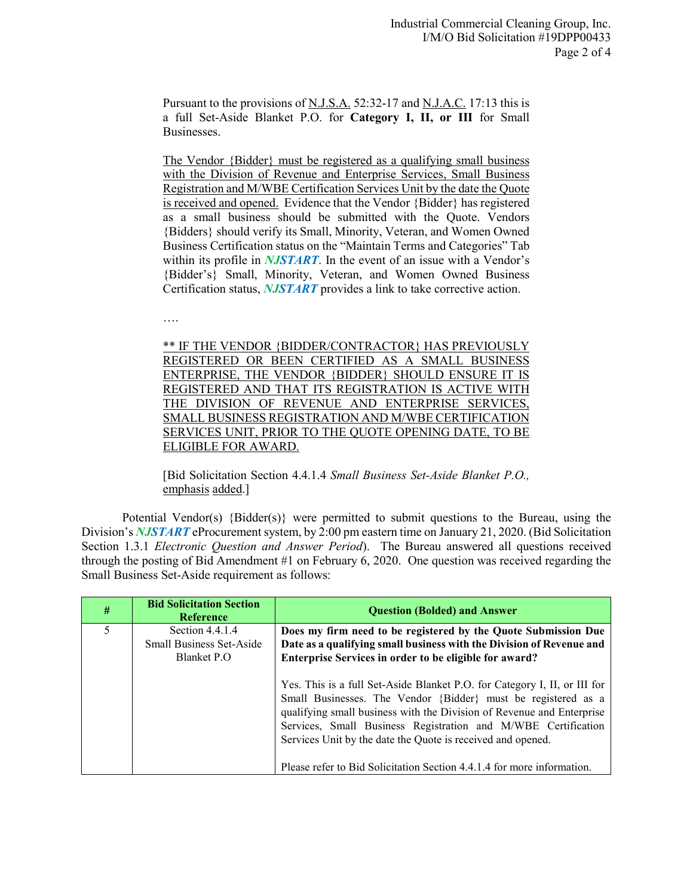Pursuant to the provisions of N.J.S.A. 52:32-17 and N.J.A.C. 17:13 this is a full Set-Aside Blanket P.O. for **Category I, II, or III** for Small Businesses.

The Vendor {Bidder} must be registered as a qualifying small business with the Division of Revenue and Enterprise Services, Small Business Registration and M/WBE Certification Services Unit by the date the Quote is received and opened. Evidence that the Vendor {Bidder} has registered as a small business should be submitted with the Quote. Vendors {Bidders} should verify its Small, Minority, Veteran, and Women Owned Business Certification status on the "Maintain Terms and Categories" Tab within its profile in *NJSTART*. In the event of an issue with a Vendor's {Bidder's} Small, Minority, Veteran, and Women Owned Business Certification status, *NJSTART* provides a link to take corrective action.

….

\*\* IF THE VENDOR {BIDDER/CONTRACTOR} HAS PREVIOUSLY REGISTERED OR BEEN CERTIFIED AS A SMALL BUSINESS ENTERPRISE, THE VENDOR {BIDDER} SHOULD ENSURE IT IS REGISTERED AND THAT ITS REGISTRATION IS ACTIVE WITH THE DIVISION OF REVENUE AND ENTERPRISE SERVICES, SMALL BUSINESS REGISTRATION AND M/WBE CERTIFICATION SERVICES UNIT, PRIOR TO THE QUOTE OPENING DATE, TO BE ELIGIBLE FOR AWARD.

[Bid Solicitation Section 4.4.1.4 *Small Business Set-Aside Blanket P.O.,*  emphasis added.]

Potential Vendor(s) {Bidder(s)} were permitted to submit questions to the Bureau, using the Division's *NJSTART* eProcurement system, by 2:00 pm eastern time on January 21, 2020. (Bid Solicitation Section 1.3.1 *Electronic Question and Answer Period*). The Bureau answered all questions received through the posting of Bid Amendment #1 on February 6, 2020. One question was received regarding the Small Business Set-Aside requirement as follows:

| $\#$ | <b>Bid Solicitation Section</b><br><b>Reference</b>                | <b>Question (Bolded) and Answer</b>                                                                                                                                                                                                                                                                                                                                                                                           |
|------|--------------------------------------------------------------------|-------------------------------------------------------------------------------------------------------------------------------------------------------------------------------------------------------------------------------------------------------------------------------------------------------------------------------------------------------------------------------------------------------------------------------|
| 5    | Section 4.4.1.4<br><b>Small Business Set-Aside</b><br>Blanket P.O. | Does my firm need to be registered by the Quote Submission Due<br>Date as a qualifying small business with the Division of Revenue and<br>Enterprise Services in order to be eligible for award?                                                                                                                                                                                                                              |
|      |                                                                    | Yes. This is a full Set-Aside Blanket P.O. for Category I, II, or III for<br>Small Businesses. The Vendor {Bidder} must be registered as a<br>qualifying small business with the Division of Revenue and Enterprise<br>Services, Small Business Registration and M/WBE Certification<br>Services Unit by the date the Quote is received and opened.<br>Please refer to Bid Solicitation Section 4.4.1.4 for more information. |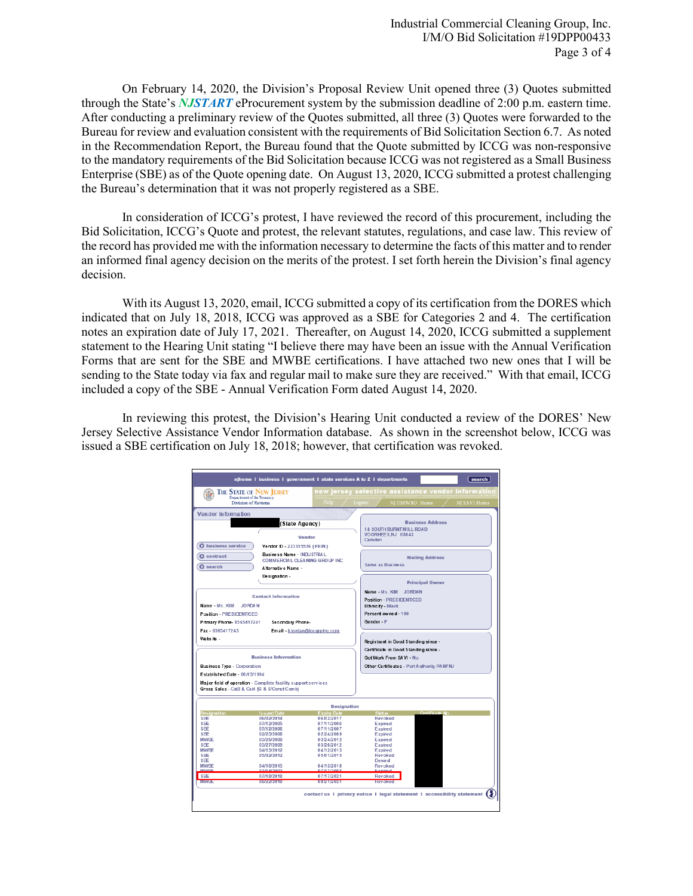On February 14, 2020, the Division's Proposal Review Unit opened three (3) Quotes submitted through the State's *NJSTART* eProcurement system by the submission deadline of 2:00 p.m. eastern time. After conducting a preliminary review of the Quotes submitted, all three (3) Quotes were forwarded to the Bureau for review and evaluation consistent with the requirements of Bid Solicitation Section 6.7. As noted in the Recommendation Report, the Bureau found that the Quote submitted by ICCG was non-responsive to the mandatory requirements of the Bid Solicitation because ICCG was not registered as a Small Business Enterprise (SBE) as of the Quote opening date. On August 13, 2020, ICCG submitted a protest challenging the Bureau's determination that it was not properly registered as a SBE.

In consideration of ICCG's protest, I have reviewed the record of this procurement, including the Bid Solicitation, ICCG's Quote and protest, the relevant statutes, regulations, and case law. This review of the record has provided me with the information necessary to determine the facts of this matter and to render an informed final agency decision on the merits of the protest. I set forth herein the Division's final agency decision.

With its August 13, 2020, email, ICCG submitted a copy of its certification from the DORES which indicated that on July 18, 2018, ICCG was approved as a SBE for Categories 2 and 4. The certification notes an expiration date of July 17, 2021. Thereafter, on August 14, 2020, ICCG submitted a supplement statement to the Hearing Unit stating "I believe there may have been an issue with the Annual Verification Forms that are sent for the SBE and MWBE certifications. I have attached two new ones that I will be sending to the State today via fax and regular mail to make sure they are received." With that email, ICCG included a copy of the SBE - Annual Verification Form dated August 14, 2020.

In reviewing this protest, the Division's Hearing Unit conducted a review of the DORES' New Jersey Selective Assistance Vendor Information database. As shown in the screenshot below, ICCG was issued a SBE certification on July 18, 2018; however, that certification was revoked.

|                                                            | njhome I business I government I state services A to Z I departments                                          |                                    |                                                       | search                                                                         |  |
|------------------------------------------------------------|---------------------------------------------------------------------------------------------------------------|------------------------------------|-------------------------------------------------------|--------------------------------------------------------------------------------|--|
|                                                            | <b>THE STATE OF NEW JERSEY</b>                                                                                |                                    | new jersey selective assistance vendor informatior    |                                                                                |  |
|                                                            | Department of the Treasury<br>Division of Revernae                                                            | Help                               | Logout                                                | NJ DMWBD Home<br>NJ SAVI Home                                                  |  |
| Vendor Information                                         |                                                                                                               |                                    |                                                       |                                                                                |  |
|                                                            | (State Agency)                                                                                                |                                    |                                                       | <b>Business Address</b>                                                        |  |
| Vendor                                                     |                                                                                                               |                                    | <b>14 SOUTH BURNT MILL ROAD</b><br>VOORHEE S,NJ 08043 |                                                                                |  |
| <b>O</b> business service                                  |                                                                                                               |                                    | Camden                                                |                                                                                |  |
| Vendor ID - 223315576 (FEIN)<br>Business Name - INDUSTRIAL |                                                                                                               |                                    |                                                       |                                                                                |  |
| <b>Q</b> contract<br>COMMERCIAL CLEANING GROUP INC.        |                                                                                                               |                                    | <b>Mailing Address</b>                                |                                                                                |  |
| $Q$ search                                                 | Alternativ e Name -                                                                                           |                                    | Same as Business                                      |                                                                                |  |
|                                                            | Designation-                                                                                                  |                                    |                                                       |                                                                                |  |
|                                                            |                                                                                                               |                                    |                                                       | <b>Principal Owner</b>                                                         |  |
|                                                            |                                                                                                               |                                    | Name - Ms. KIM JORDAN                                 |                                                                                |  |
| <b>Contact Information</b>                                 |                                                                                                               |                                    | <b>Position - PRESIDENT/CEO</b>                       |                                                                                |  |
| Name - Ms. KIM                                             | JORDAN                                                                                                        |                                    | Ethnicity - Black                                     |                                                                                |  |
| Position - PRESIDENT/CEO                                   |                                                                                                               |                                    | Percent owned - 100                                   |                                                                                |  |
| Primary Phone- 8565417241                                  | Secondary Phone-                                                                                              |                                    | Gender - F                                            |                                                                                |  |
| Fax - 8565417243                                           |                                                                                                               | Email - kjordan@iccgrpinc.com      |                                                       |                                                                                |  |
| We bs ite -                                                |                                                                                                               |                                    |                                                       | Registrant in Good Standing since -                                            |  |
|                                                            |                                                                                                               |                                    |                                                       | Certificate in Good Standing since -                                           |  |
| <b>Business Information</b>                                |                                                                                                               |                                    | Got Work From SAVI - No                               |                                                                                |  |
| Business Type - Corporation                                |                                                                                                               |                                    |                                                       | Other Certificates - Port Authority PANY NJ                                    |  |
| Established Date - 06/15/1994                              |                                                                                                               |                                    |                                                       |                                                                                |  |
|                                                            | Major field of operation - Complete facility support services<br>Gross Sales - Cat2 & Cat4 IG & S/Const Combi |                                    |                                                       |                                                                                |  |
|                                                            |                                                                                                               | <b>Designation</b>                 |                                                       |                                                                                |  |
| <b>Designation</b><br>SEE                                  | <b>Is sued Date</b><br>06/02/2014                                                                             | <b>Expiry Date</b><br>06/02/2017   | <b>Status</b><br>Revoked                              | Certificate No.                                                                |  |
| SEE                                                        | 07/12/2005                                                                                                    | 07/11/2006                         | <b>Expired</b>                                        |                                                                                |  |
| SEE                                                        | 07/12/2006                                                                                                    | 07/11/2007                         | <b>Expired</b>                                        |                                                                                |  |
| SFF                                                        | 02/25/2008                                                                                                    | 02/24/2009                         | <b>Expired</b>                                        |                                                                                |  |
| <b>MWBE</b><br>SEE                                         | 03/25/2009<br>03/27/2009                                                                                      | 03/24/2012<br>03/26/2012           | Expired<br><b>Expired</b>                             |                                                                                |  |
| <b>MWRF</b>                                                | 04/13/2012                                                                                                    | 04/12/2015                         | Expired                                               |                                                                                |  |
| SEE                                                        | 05/02/2012                                                                                                    | 05/01/2015                         | Revoked                                               |                                                                                |  |
| SEE                                                        |                                                                                                               |                                    | Denie d                                               |                                                                                |  |
| <b>MWBE</b>                                                | 04/16/2015                                                                                                    | 04/15/2018                         | Revoked                                               |                                                                                |  |
| <b>MWRE</b><br>SBE                                         | 20.02/14 http:<br>07/18/2018                                                                                  | <b>RODCLY N.T.D.</b><br>07/17/2021 | Evalidad<br>Revoked                                   |                                                                                |  |
| <b>MIVVEST</b>                                             | UNITE 27 2010                                                                                                 | 020721720721                       | <b>Revoked</b>                                        |                                                                                |  |
|                                                            |                                                                                                               |                                    |                                                       | contact us 1 privacy notice 1 legal statement 1 accessibility statement $\sum$ |  |